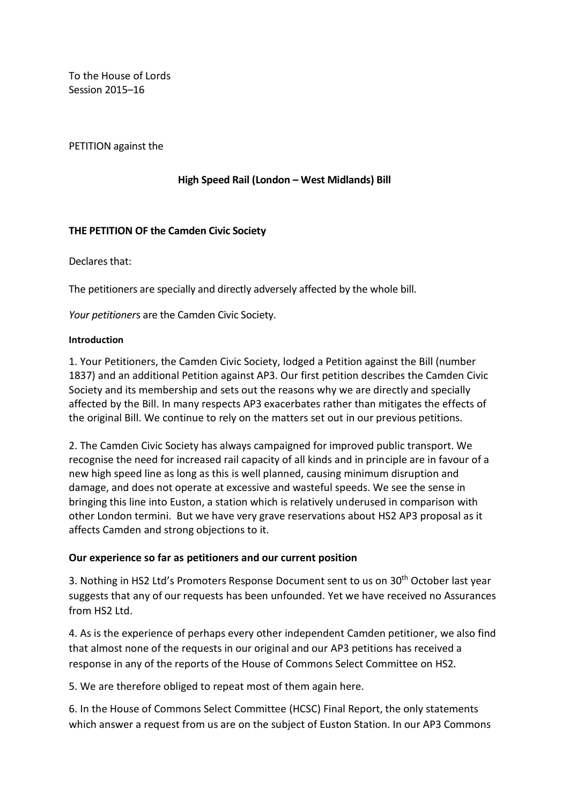To the House of Lords Session 2015–16

PETITION against the

**High Speed Rail (London – West Midlands) Bill**

#### **THE PETITION OF the Camden Civic Society**

Declares that:

The petitioners are specially and directly adversely affected by the whole bill.

*Your petitioner*s are the Camden Civic Society.

#### **Introduction**

1. Your Petitioners, the Camden Civic Society, lodged a Petition against the Bill (number 1837) and an additional Petition against AP3. Our first petition describes the Camden Civic Society and its membership and sets out the reasons why we are directly and specially affected by the Bill. In many respects AP3 exacerbates rather than mitigates the effects of the original Bill. We continue to rely on the matters set out in our previous petitions.

2. The Camden Civic Society has always campaigned for improved public transport. We recognise the need for increased rail capacity of all kinds and in principle are in favour of a new high speed line as long as this is well planned, causing minimum disruption and damage, and does not operate at excessive and wasteful speeds. We see the sense in bringing this line into Euston, a station which is relatively underused in comparison with other London termini. But we have very grave reservations about HS2 AP3 proposal as it affects Camden and strong objections to it.

#### **Our experience so far as petitioners and our current position**

3. Nothing in HS2 Ltd's Promoters Response Document sent to us on 30<sup>th</sup> October last year suggests that any of our requests has been unfounded. Yet we have received no Assurances from HS2 Ltd.

4. As is the experience of perhaps every other independent Camden petitioner, we also find that almost none of the requests in our original and our AP3 petitions has received a response in any of the reports of the House of Commons Select Committee on HS2.

5. We are therefore obliged to repeat most of them again here.

6. In the House of Commons Select Committee (HCSC) Final Report, the only statements which answer a request from us are on the subject of Euston Station. In our AP3 Commons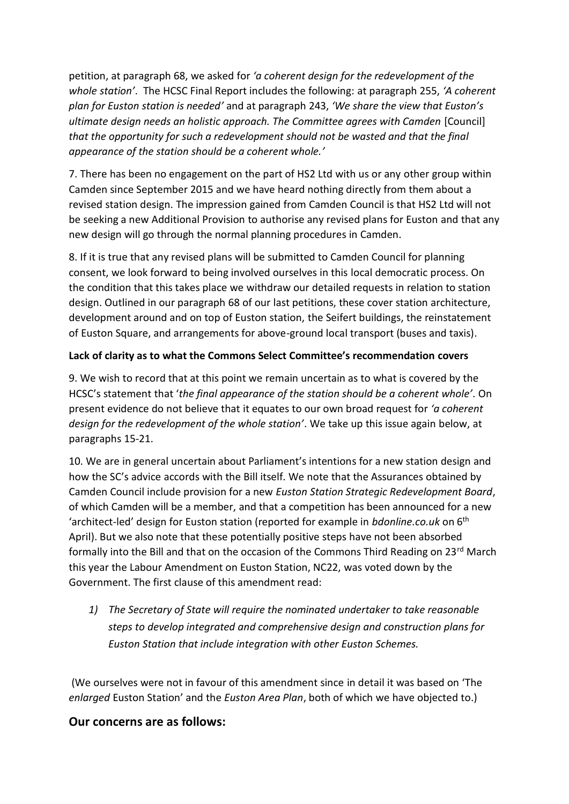petition, at paragraph 68, we asked for *'a coherent design for the redevelopment of the whole station'*. The HCSC Final Report includes the following: at paragraph 255, *'A coherent plan for Euston station is needed'* and at paragraph 243, *'We share the view that Euston's ultimate design needs an holistic approach. The Committee agrees with Camden* [Council] *that the opportunity for such a redevelopment should not be wasted and that the final appearance of the station should be a coherent whole.'*

7. There has been no engagement on the part of HS2 Ltd with us or any other group within Camden since September 2015 and we have heard nothing directly from them about a revised station design. The impression gained from Camden Council is that HS2 Ltd will not be seeking a new Additional Provision to authorise any revised plans for Euston and that any new design will go through the normal planning procedures in Camden.

8. If it is true that any revised plans will be submitted to Camden Council for planning consent, we look forward to being involved ourselves in this local democratic process. On the condition that this takes place we withdraw our detailed requests in relation to station design. Outlined in our paragraph 68 of our last petitions, these cover station architecture, development around and on top of Euston station, the Seifert buildings, the reinstatement of Euston Square, and arrangements for above-ground local transport (buses and taxis).

### **Lack of clarity as to what the Commons Select Committee's recommendation covers**

9. We wish to record that at this point we remain uncertain as to what is covered by the HCSC's statement that '*the final appearance of the station should be a coherent whole'.* On present evidence do not believe that it equates to our own broad request for *'a coherent design for the redevelopment of the whole station'*. We take up this issue again below, at paragraphs 15-21.

10. We are in general uncertain about Parliament's intentions for a new station design and how the SC's advice accords with the Bill itself. We note that the Assurances obtained by Camden Council include provision for a new *Euston Station Strategic Redevelopment Board*, of which Camden will be a member, and that a competition has been announced for a new 'architect-led' design for Euston station (reported for example in *bdonline.co.uk* on 6th April). But we also note that these potentially positive steps have not been absorbed formally into the Bill and that on the occasion of the Commons Third Reading on  $23^{rd}$  March this year the Labour Amendment on Euston Station, NC22, was voted down by the Government. The first clause of this amendment read:

*1) The Secretary of State will require the nominated undertaker to take reasonable steps to develop integrated and comprehensive design and construction plans for Euston Station that include integration with other Euston Schemes.*

(We ourselves were not in favour of this amendment since in detail it was based on 'The *enlarged* Euston Station' and the *Euston Area Plan*, both of which we have objected to.)

# **Our concerns are as follows:**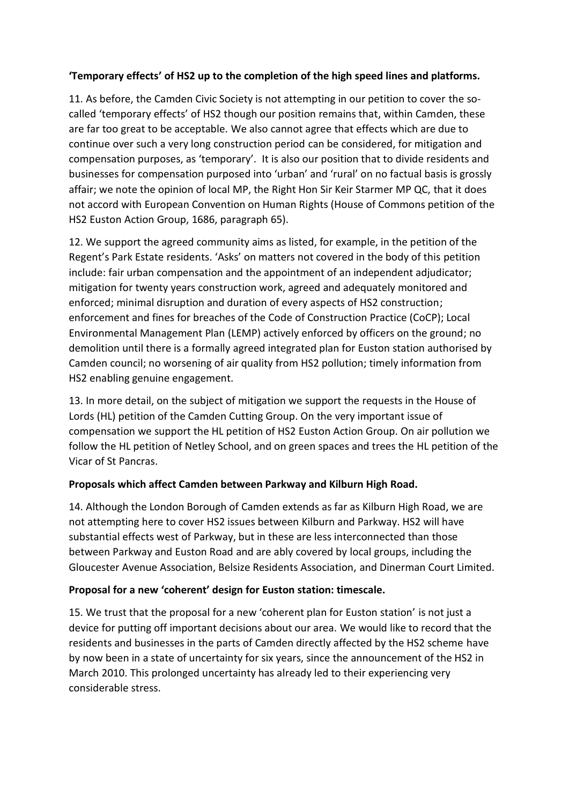### **'Temporary effects' of HS2 up to the completion of the high speed lines and platforms.**

11. As before, the Camden Civic Society is not attempting in our petition to cover the socalled 'temporary effects' of HS2 though our position remains that, within Camden, these are far too great to be acceptable. We also cannot agree that effects which are due to continue over such a very long construction period can be considered, for mitigation and compensation purposes, as 'temporary'. It is also our position that to divide residents and businesses for compensation purposed into 'urban' and 'rural' on no factual basis is grossly affair; we note the opinion of local MP, the Right Hon Sir Keir Starmer MP QC, that it does not accord with European Convention on Human Rights (House of Commons petition of the HS2 Euston Action Group, 1686, paragraph 65).

12. We support the agreed community aims as listed, for example, in the petition of the Regent's Park Estate residents. 'Asks' on matters not covered in the body of this petition include: fair urban compensation and the appointment of an independent adjudicator; mitigation for twenty years construction work, agreed and adequately monitored and enforced; minimal disruption and duration of every aspects of HS2 construction; enforcement and fines for breaches of the Code of Construction Practice (CoCP); Local Environmental Management Plan (LEMP) actively enforced by officers on the ground; no demolition until there is a formally agreed integrated plan for Euston station authorised by Camden council; no worsening of air quality from HS2 pollution; timely information from HS2 enabling genuine engagement.

13. In more detail, on the subject of mitigation we support the requests in the House of Lords (HL) petition of the Camden Cutting Group. On the very important issue of compensation we support the HL petition of HS2 Euston Action Group. On air pollution we follow the HL petition of Netley School, and on green spaces and trees the HL petition of the Vicar of St Pancras.

#### **Proposals which affect Camden between Parkway and Kilburn High Road.**

14. Although the London Borough of Camden extends as far as Kilburn High Road, we are not attempting here to cover HS2 issues between Kilburn and Parkway. HS2 will have substantial effects west of Parkway, but in these are less interconnected than those between Parkway and Euston Road and are ably covered by local groups, including the Gloucester Avenue Association, Belsize Residents Association, and Dinerman Court Limited.

## **Proposal for a new 'coherent' design for Euston station: timescale.**

15. We trust that the proposal for a new 'coherent plan for Euston station' is not just a device for putting off important decisions about our area. We would like to record that the residents and businesses in the parts of Camden directly affected by the HS2 scheme have by now been in a state of uncertainty for six years, since the announcement of the HS2 in March 2010. This prolonged uncertainty has already led to their experiencing very considerable stress.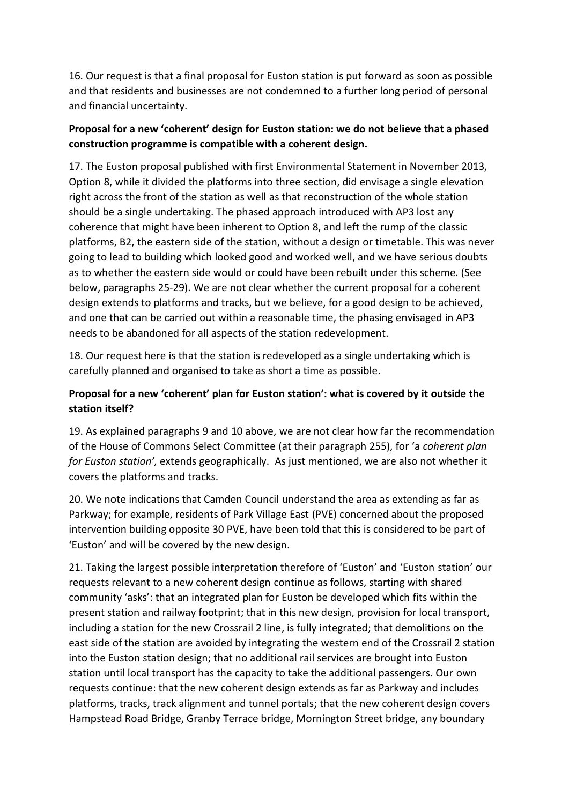16. Our request is that a final proposal for Euston station is put forward as soon as possible and that residents and businesses are not condemned to a further long period of personal and financial uncertainty.

## **Proposal for a new 'coherent' design for Euston station: we do not believe that a phased construction programme is compatible with a coherent design.**

17. The Euston proposal published with first Environmental Statement in November 2013, Option 8, while it divided the platforms into three section, did envisage a single elevation right across the front of the station as well as that reconstruction of the whole station should be a single undertaking. The phased approach introduced with AP3 lost any coherence that might have been inherent to Option 8, and left the rump of the classic platforms, B2, the eastern side of the station, without a design or timetable. This was never going to lead to building which looked good and worked well, and we have serious doubts as to whether the eastern side would or could have been rebuilt under this scheme. (See below, paragraphs 25-29). We are not clear whether the current proposal for a coherent design extends to platforms and tracks, but we believe, for a good design to be achieved, and one that can be carried out within a reasonable time, the phasing envisaged in AP3 needs to be abandoned for all aspects of the station redevelopment.

18. Our request here is that the station is redeveloped as a single undertaking which is carefully planned and organised to take as short a time as possible.

## **Proposal for a new 'coherent' plan for Euston station': what is covered by it outside the station itself?**

19. As explained paragraphs 9 and 10 above, we are not clear how far the recommendation of the House of Commons Select Committee (at their paragraph 255), for 'a *coherent plan for Euston station',* extends geographically. As just mentioned, we are also not whether it covers the platforms and tracks.

20. We note indications that Camden Council understand the area as extending as far as Parkway; for example, residents of Park Village East (PVE) concerned about the proposed intervention building opposite 30 PVE, have been told that this is considered to be part of 'Euston' and will be covered by the new design.

21. Taking the largest possible interpretation therefore of 'Euston' and 'Euston station' our requests relevant to a new coherent design continue as follows, starting with shared community 'asks': that an integrated plan for Euston be developed which fits within the present station and railway footprint; that in this new design, provision for local transport, including a station for the new Crossrail 2 line, is fully integrated; that demolitions on the east side of the station are avoided by integrating the western end of the Crossrail 2 station into the Euston station design; that no additional rail services are brought into Euston station until local transport has the capacity to take the additional passengers. Our own requests continue: that the new coherent design extends as far as Parkway and includes platforms, tracks, track alignment and tunnel portals; that the new coherent design covers Hampstead Road Bridge, Granby Terrace bridge, Mornington Street bridge, any boundary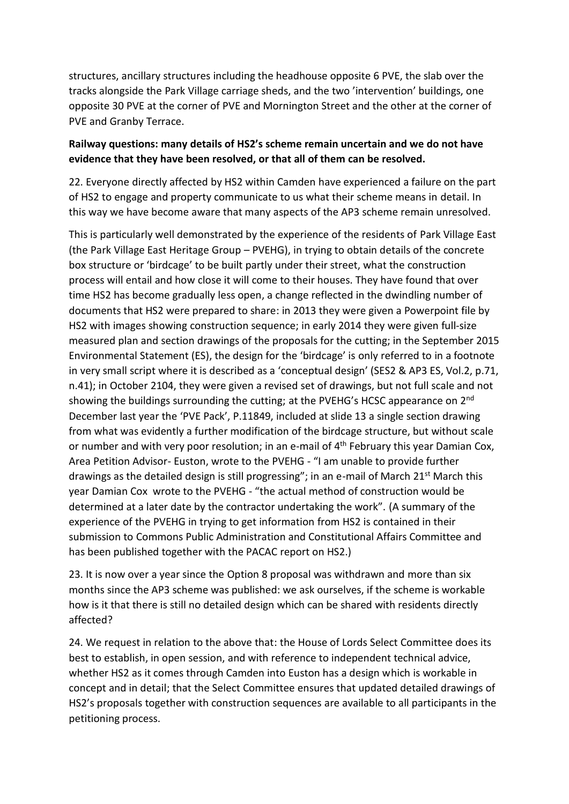structures, ancillary structures including the headhouse opposite 6 PVE, the slab over the tracks alongside the Park Village carriage sheds, and the two 'intervention' buildings, one opposite 30 PVE at the corner of PVE and Mornington Street and the other at the corner of PVE and Granby Terrace.

### **Railway questions: many details of HS2's scheme remain uncertain and we do not have evidence that they have been resolved, or that all of them can be resolved.**

22. Everyone directly affected by HS2 within Camden have experienced a failure on the part of HS2 to engage and property communicate to us what their scheme means in detail. In this way we have become aware that many aspects of the AP3 scheme remain unresolved.

This is particularly well demonstrated by the experience of the residents of Park Village East (the Park Village East Heritage Group – PVEHG), in trying to obtain details of the concrete box structure or 'birdcage' to be built partly under their street, what the construction process will entail and how close it will come to their houses. They have found that over time HS2 has become gradually less open, a change reflected in the dwindling number of documents that HS2 were prepared to share: in 2013 they were given a Powerpoint file by HS2 with images showing construction sequence; in early 2014 they were given full-size measured plan and section drawings of the proposals for the cutting; in the September 2015 Environmental Statement (ES), the design for the 'birdcage' is only referred to in a footnote in very small script where it is described as a 'conceptual design' (SES2 & AP3 ES, Vol.2, p.71, n.41); in October 2104, they were given a revised set of drawings, but not full scale and not showing the buildings surrounding the cutting; at the PVEHG's HCSC appearance on 2<sup>nd</sup> December last year the 'PVE Pack', P.11849, included at slide 13 a single section drawing from what was evidently a further modification of the birdcage structure, but without scale or number and with very poor resolution; in an e-mail of 4<sup>th</sup> February this year Damian Cox, Area Petition Advisor- Euston, wrote to the PVEHG - "I am unable to provide further drawings as the detailed design is still progressing"; in an e-mail of March 21<sup>st</sup> March this year Damian Cox wrote to the PVEHG - "the actual method of construction would be determined at a later date by the contractor undertaking the work". (A summary of the experience of the PVEHG in trying to get information from HS2 is contained in their submission to Commons Public Administration and Constitutional Affairs Committee and has been published together with the PACAC report on HS2.)

23. It is now over a year since the Option 8 proposal was withdrawn and more than six months since the AP3 scheme was published: we ask ourselves, if the scheme is workable how is it that there is still no detailed design which can be shared with residents directly affected?

24. We request in relation to the above that: the House of Lords Select Committee does its best to establish, in open session, and with reference to independent technical advice, whether HS2 as it comes through Camden into Euston has a design which is workable in concept and in detail; that the Select Committee ensures that updated detailed drawings of HS2's proposals together with construction sequences are available to all participants in the petitioning process.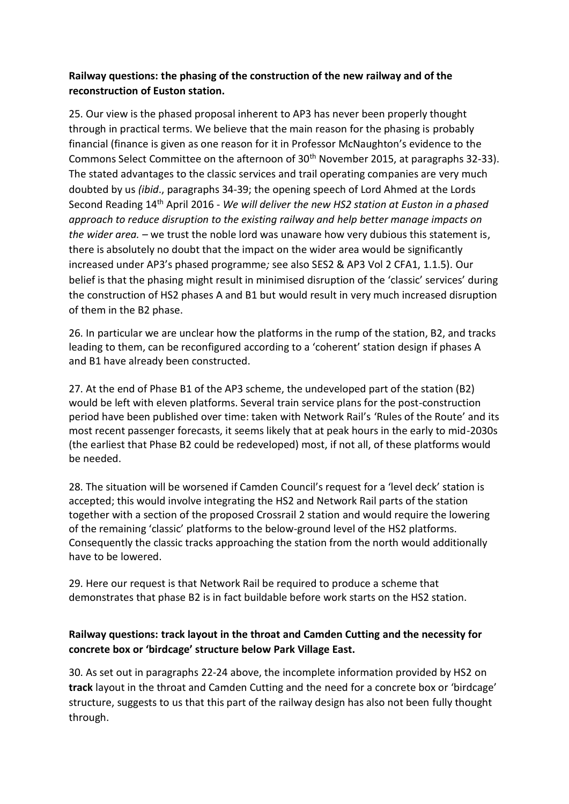## **Railway questions: the phasing of the construction of the new railway and of the reconstruction of Euston station.**

25. Our view is the phased proposal inherent to AP3 has never been properly thought through in practical terms. We believe that the main reason for the phasing is probably financial (finance is given as one reason for it in Professor McNaughton's evidence to the Commons Select Committee on the afternoon of 30<sup>th</sup> November 2015, at paragraphs 32-33). The stated advantages to the classic services and trail operating companies are very much doubted by us *(ibid*., paragraphs 34-39; the opening speech of Lord Ahmed at the Lords Second Reading 14th April 2016 - *We will deliver the new HS2 station at Euston in a phased approach to reduce disruption to the existing railway and help better manage impacts on the wider area. –* we trust the noble lord was unaware how very dubious this statement is, there is absolutely no doubt that the impact on the wider area would be significantly increased under AP3's phased programme*;* see also SES2 & AP3 Vol 2 CFA1, 1.1.5). Our belief is that the phasing might result in minimised disruption of the 'classic' services' during the construction of HS2 phases A and B1 but would result in very much increased disruption of them in the B2 phase.

26. In particular we are unclear how the platforms in the rump of the station, B2, and tracks leading to them, can be reconfigured according to a 'coherent' station design if phases A and B1 have already been constructed.

27. At the end of Phase B1 of the AP3 scheme, the undeveloped part of the station (B2) would be left with eleven platforms. Several train service plans for the post-construction period have been published over time: taken with Network Rail's 'Rules of the Route' and its most recent passenger forecasts, it seems likely that at peak hours in the early to mid-2030s (the earliest that Phase B2 could be redeveloped) most, if not all, of these platforms would be needed.

28. The situation will be worsened if Camden Council's request for a 'level deck' station is accepted; this would involve integrating the HS2 and Network Rail parts of the station together with a section of the proposed Crossrail 2 station and would require the lowering of the remaining 'classic' platforms to the below-ground level of the HS2 platforms. Consequently the classic tracks approaching the station from the north would additionally have to be lowered.

29. Here our request is that Network Rail be required to produce a scheme that demonstrates that phase B2 is in fact buildable before work starts on the HS2 station.

### **Railway questions: track layout in the throat and Camden Cutting and the necessity for concrete box or 'birdcage' structure below Park Village East.**

30. As set out in paragraphs 22-24 above, the incomplete information provided by HS2 on **track** layout in the throat and Camden Cutting and the need for a concrete box or 'birdcage' structure, suggests to us that this part of the railway design has also not been fully thought through.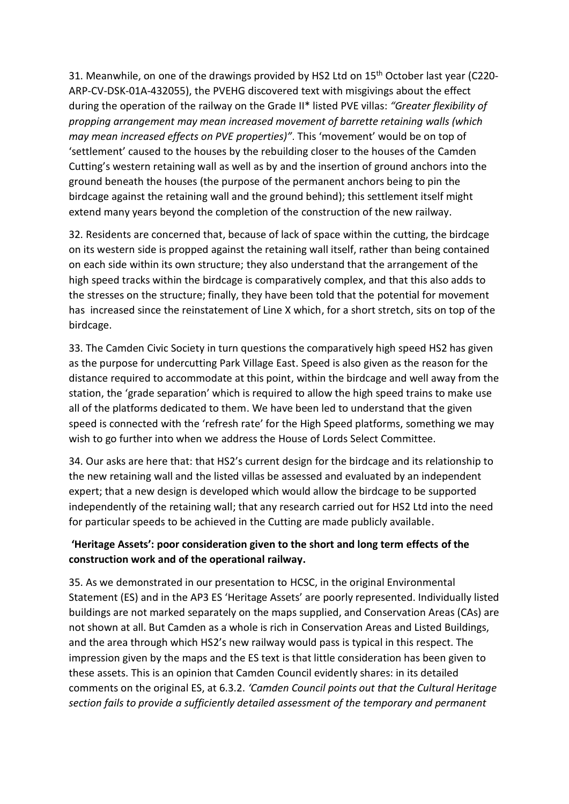31. Meanwhile, on one of the drawings provided by HS2 Ltd on 15<sup>th</sup> October last year (C220-ARP-CV-DSK-01A-432055), the PVEHG discovered text with misgivings about the effect during the operation of the railway on the Grade II\* listed PVE villas: *"Greater flexibility of propping arrangement may mean increased movement of barrette retaining walls (which may mean increased effects on PVE properties)"*. This 'movement' would be on top of 'settlement' caused to the houses by the rebuilding closer to the houses of the Camden Cutting's western retaining wall as well as by and the insertion of ground anchors into the ground beneath the houses (the purpose of the permanent anchors being to pin the birdcage against the retaining wall and the ground behind); this settlement itself might extend many years beyond the completion of the construction of the new railway.

32. Residents are concerned that, because of lack of space within the cutting, the birdcage on its western side is propped against the retaining wall itself, rather than being contained on each side within its own structure; they also understand that the arrangement of the high speed tracks within the birdcage is comparatively complex, and that this also adds to the stresses on the structure; finally, they have been told that the potential for movement has increased since the reinstatement of Line X which, for a short stretch, sits on top of the birdcage.

33. The Camden Civic Society in turn questions the comparatively high speed HS2 has given as the purpose for undercutting Park Village East. Speed is also given as the reason for the distance required to accommodate at this point, within the birdcage and well away from the station, the 'grade separation' which is required to allow the high speed trains to make use all of the platforms dedicated to them. We have been led to understand that the given speed is connected with the 'refresh rate' for the High Speed platforms, something we may wish to go further into when we address the House of Lords Select Committee.

34. Our asks are here that: that HS2's current design for the birdcage and its relationship to the new retaining wall and the listed villas be assessed and evaluated by an independent expert; that a new design is developed which would allow the birdcage to be supported independently of the retaining wall; that any research carried out for HS2 Ltd into the need for particular speeds to be achieved in the Cutting are made publicly available.

### **'Heritage Assets': poor consideration given to the short and long term effects of the construction work and of the operational railway.**

35. As we demonstrated in our presentation to HCSC, in the original Environmental Statement (ES) and in the AP3 ES 'Heritage Assets' are poorly represented. Individually listed buildings are not marked separately on the maps supplied, and Conservation Areas (CAs) are not shown at all. But Camden as a whole is rich in Conservation Areas and Listed Buildings, and the area through which HS2's new railway would pass is typical in this respect. The impression given by the maps and the ES text is that little consideration has been given to these assets. This is an opinion that Camden Council evidently shares: in its detailed comments on the original ES, at 6.3.2. *'Camden Council points out that the Cultural Heritage section fails to provide a sufficiently detailed assessment of the temporary and permanent*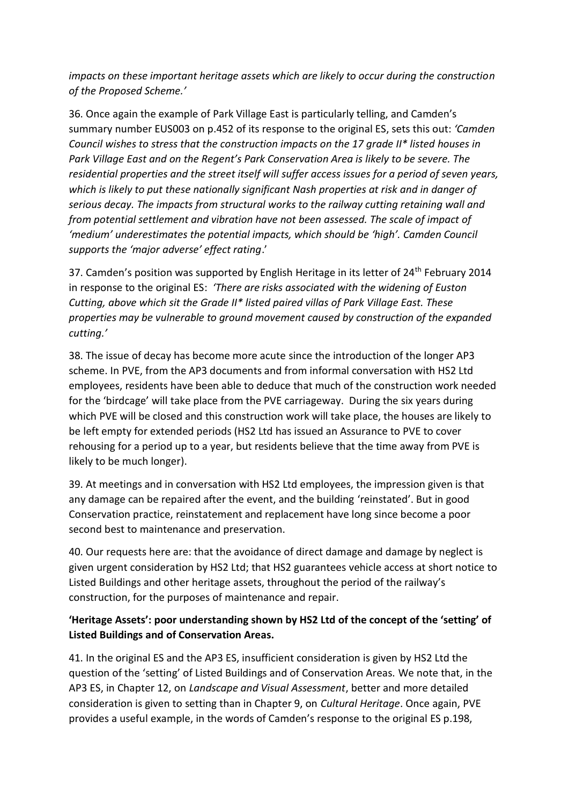*impacts on these important heritage assets which are likely to occur during the construction of the Proposed Scheme.'* 

36. Once again the example of Park Village East is particularly telling, and Camden's summary number EUS003 on p.452 of its response to the original ES, sets this out: *'Camden Council wishes to stress that the construction impacts on the 17 grade II\* listed houses in Park Village East and on the Regent's Park Conservation Area is likely to be severe. The residential properties and the street itself will suffer access issues for a period of seven years, which is likely to put these nationally significant Nash properties at risk and in danger of serious decay. The impacts from structural works to the railway cutting retaining wall and from potential settlement and vibration have not been assessed. The scale of impact of 'medium' underestimates the potential impacts, which should be 'high'. Camden Council supports the 'major adverse' effect rating*.'

37. Camden's position was supported by English Heritage in its letter of 24<sup>th</sup> February 2014 in response to the original ES: *'There are risks associated with the widening of Euston Cutting, above which sit the Grade II\* listed paired villas of Park Village East. These properties may be vulnerable to ground movement caused by construction of the expanded cutting.'*

38. The issue of decay has become more acute since the introduction of the longer AP3 scheme. In PVE, from the AP3 documents and from informal conversation with HS2 Ltd employees, residents have been able to deduce that much of the construction work needed for the 'birdcage' will take place from the PVE carriageway. During the six years during which PVE will be closed and this construction work will take place, the houses are likely to be left empty for extended periods (HS2 Ltd has issued an Assurance to PVE to cover rehousing for a period up to a year, but residents believe that the time away from PVE is likely to be much longer).

39. At meetings and in conversation with HS2 Ltd employees, the impression given is that any damage can be repaired after the event, and the building 'reinstated'. But in good Conservation practice, reinstatement and replacement have long since become a poor second best to maintenance and preservation.

40. Our requests here are: that the avoidance of direct damage and damage by neglect is given urgent consideration by HS2 Ltd; that HS2 guarantees vehicle access at short notice to Listed Buildings and other heritage assets, throughout the period of the railway's construction, for the purposes of maintenance and repair.

## **'Heritage Assets': poor understanding shown by HS2 Ltd of the concept of the 'setting' of Listed Buildings and of Conservation Areas.**

41. In the original ES and the AP3 ES, insufficient consideration is given by HS2 Ltd the question of the 'setting' of Listed Buildings and of Conservation Areas. We note that, in the AP3 ES, in Chapter 12, on *Landscape and Visual Assessment*, better and more detailed consideration is given to setting than in Chapter 9, on *Cultural Heritage*. Once again, PVE provides a useful example, in the words of Camden's response to the original ES p.198,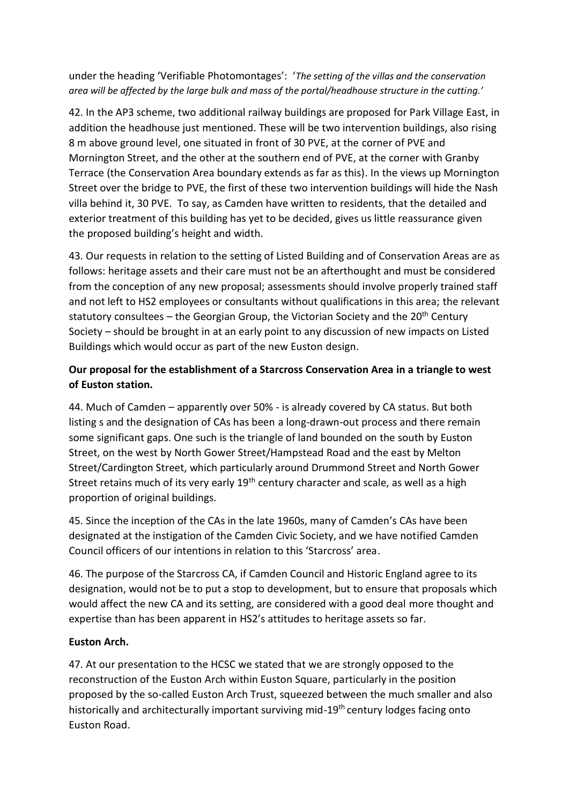under the heading 'Verifiable Photomontages': '*The setting of the villas and the conservation area will be affected by the large bulk and mass of the portal/headhouse structure in the cutting.'*

42. In the AP3 scheme, two additional railway buildings are proposed for Park Village East, in addition the headhouse just mentioned. These will be two intervention buildings, also rising 8 m above ground level, one situated in front of 30 PVE, at the corner of PVE and Mornington Street, and the other at the southern end of PVE, at the corner with Granby Terrace (the Conservation Area boundary extends as far as this). In the views up Mornington Street over the bridge to PVE, the first of these two intervention buildings will hide the Nash villa behind it, 30 PVE. To say, as Camden have written to residents, that the detailed and exterior treatment of this building has yet to be decided, gives us little reassurance given the proposed building's height and width.

43. Our requests in relation to the setting of Listed Building and of Conservation Areas are as follows: heritage assets and their care must not be an afterthought and must be considered from the conception of any new proposal; assessments should involve properly trained staff and not left to HS2 employees or consultants without qualifications in this area; the relevant statutory consultees – the Georgian Group, the Victorian Society and the 20<sup>th</sup> Century Society – should be brought in at an early point to any discussion of new impacts on Listed Buildings which would occur as part of the new Euston design.

## **Our proposal for the establishment of a Starcross Conservation Area in a triangle to west of Euston station.**

44. Much of Camden – apparently over 50% - is already covered by CA status. But both listing s and the designation of CAs has been a long-drawn-out process and there remain some significant gaps. One such is the triangle of land bounded on the south by Euston Street, on the west by North Gower Street/Hampstead Road and the east by Melton Street/Cardington Street, which particularly around Drummond Street and North Gower Street retains much of its very early 19<sup>th</sup> century character and scale, as well as a high proportion of original buildings.

45. Since the inception of the CAs in the late 1960s, many of Camden's CAs have been designated at the instigation of the Camden Civic Society, and we have notified Camden Council officers of our intentions in relation to this 'Starcross' area.

46. The purpose of the Starcross CA, if Camden Council and Historic England agree to its designation, would not be to put a stop to development, but to ensure that proposals which would affect the new CA and its setting, are considered with a good deal more thought and expertise than has been apparent in HS2's attitudes to heritage assets so far.

#### **Euston Arch.**

47. At our presentation to the HCSC we stated that we are strongly opposed to the reconstruction of the Euston Arch within Euston Square, particularly in the position proposed by the so-called Euston Arch Trust, squeezed between the much smaller and also historically and architecturally important surviving mid-19<sup>th</sup> century lodges facing onto Euston Road.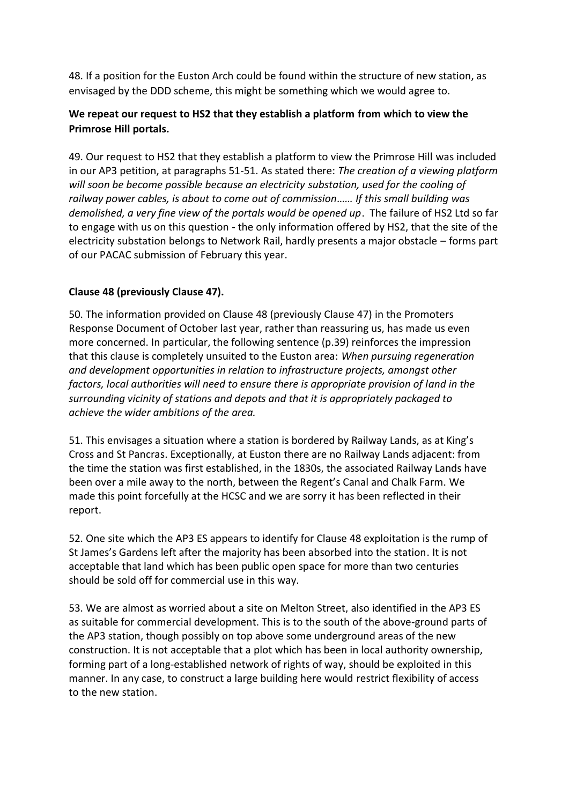48. If a position for the Euston Arch could be found within the structure of new station, as envisaged by the DDD scheme, this might be something which we would agree to.

## **We repeat our request to HS2 that they establish a platform from which to view the Primrose Hill portals.**

49. Our request to HS2 that they establish a platform to view the Primrose Hill was included in our AP3 petition, at paragraphs 51-51. As stated there: *The creation of a viewing platform will soon be become possible because an electricity substation, used for the cooling of railway power cables, is about to come out of commission…… If this small building was demolished, a very fine view of the portals would be opened up*. The failure of HS2 Ltd so far to engage with us on this question - the only information offered by HS2, that the site of the electricity substation belongs to Network Rail, hardly presents a major obstacle – forms part of our PACAC submission of February this year.

### **Clause 48 (previously Clause 47).**

50. The information provided on Clause 48 (previously Clause 47) in the Promoters Response Document of October last year, rather than reassuring us, has made us even more concerned. In particular, the following sentence (p.39) reinforces the impression that this clause is completely unsuited to the Euston area: *When pursuing regeneration and development opportunities in relation to infrastructure projects, amongst other factors, local authorities will need to ensure there is appropriate provision of land in the surrounding vicinity of stations and depots and that it is appropriately packaged to achieve the wider ambitions of the area.* 

51. This envisages a situation where a station is bordered by Railway Lands, as at King's Cross and St Pancras. Exceptionally, at Euston there are no Railway Lands adjacent: from the time the station was first established, in the 1830s, the associated Railway Lands have been over a mile away to the north, between the Regent's Canal and Chalk Farm. We made this point forcefully at the HCSC and we are sorry it has been reflected in their report.

52. One site which the AP3 ES appears to identify for Clause 48 exploitation is the rump of St James's Gardens left after the majority has been absorbed into the station. It is not acceptable that land which has been public open space for more than two centuries should be sold off for commercial use in this way.

53. We are almost as worried about a site on Melton Street, also identified in the AP3 ES as suitable for commercial development. This is to the south of the above-ground parts of the AP3 station, though possibly on top above some underground areas of the new construction. It is not acceptable that a plot which has been in local authority ownership, forming part of a long-established network of rights of way, should be exploited in this manner. In any case, to construct a large building here would restrict flexibility of access to the new station.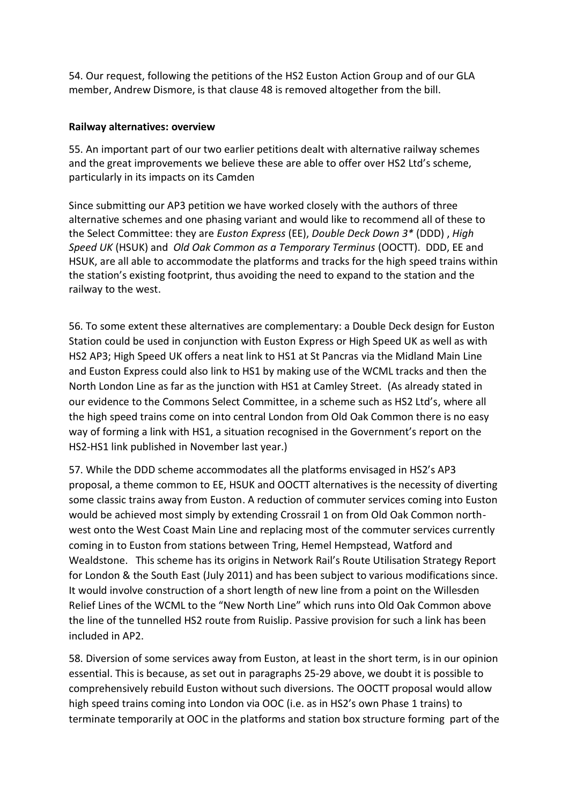54. Our request, following the petitions of the HS2 Euston Action Group and of our GLA member, Andrew Dismore, is that clause 48 is removed altogether from the bill.

#### **Railway alternatives: overview**

55. An important part of our two earlier petitions dealt with alternative railway schemes and the great improvements we believe these are able to offer over HS2 Ltd's scheme, particularly in its impacts on its Camden

Since submitting our AP3 petition we have worked closely with the authors of three alternative schemes and one phasing variant and would like to recommend all of these to the Select Committee: they are *Euston Express* (EE), *Double Deck Down 3\** (DDD) , *High Speed UK* (HSUK) and *Old Oak Common as a Temporary Terminus* (OOCTT). DDD, EE and HSUK, are all able to accommodate the platforms and tracks for the high speed trains within the station's existing footprint, thus avoiding the need to expand to the station and the railway to the west.

56. To some extent these alternatives are complementary: a Double Deck design for Euston Station could be used in conjunction with Euston Express or High Speed UK as well as with HS2 AP3; High Speed UK offers a neat link to HS1 at St Pancras via the Midland Main Line and Euston Express could also link to HS1 by making use of the WCML tracks and then the North London Line as far as the junction with HS1 at Camley Street. (As already stated in our evidence to the Commons Select Committee, in a scheme such as HS2 Ltd's, where all the high speed trains come on into central London from Old Oak Common there is no easy way of forming a link with HS1, a situation recognised in the Government's report on the HS2-HS1 link published in November last year.)

57. While the DDD scheme accommodates all the platforms envisaged in HS2's AP3 proposal, a theme common to EE, HSUK and OOCTT alternatives is the necessity of diverting some classic trains away from Euston. A reduction of commuter services coming into Euston would be achieved most simply by extending Crossrail 1 on from Old Oak Common northwest onto the West Coast Main Line and replacing most of the commuter services currently coming in to Euston from stations between Tring, Hemel Hempstead, Watford and Wealdstone. This scheme has its origins in Network Rail's Route Utilisation Strategy Report for London & the South East (July 2011) and has been subject to various modifications since. It would involve construction of a short length of new line from a point on the Willesden Relief Lines of the WCML to the "New North Line" which runs into Old Oak Common above the line of the tunnelled HS2 route from Ruislip. Passive provision for such a link has been included in AP2.

58. Diversion of some services away from Euston, at least in the short term, is in our opinion essential. This is because, as set out in paragraphs 25-29 above, we doubt it is possible to comprehensively rebuild Euston without such diversions. The OOCTT proposal would allow high speed trains coming into London via OOC (i.e. as in HS2's own Phase 1 trains) to terminate temporarily at OOC in the platforms and station box structure forming part of the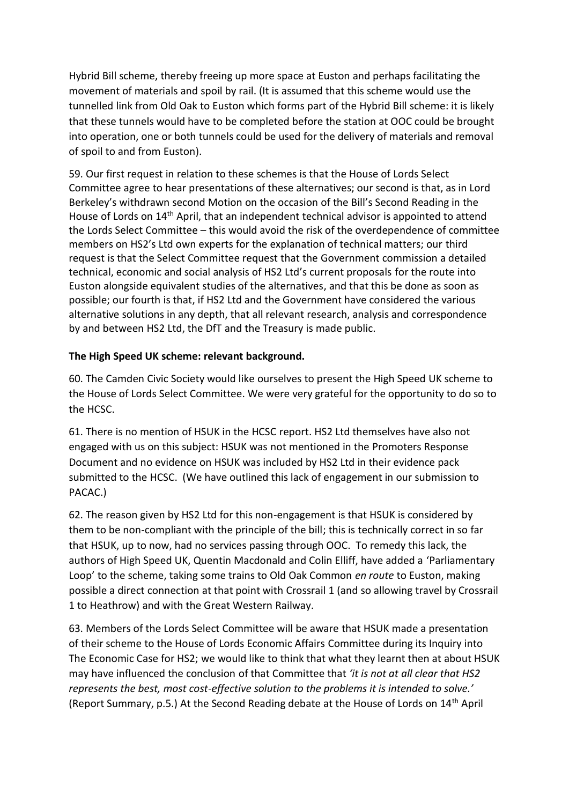Hybrid Bill scheme, thereby freeing up more space at Euston and perhaps facilitating the movement of materials and spoil by rail. (It is assumed that this scheme would use the tunnelled link from Old Oak to Euston which forms part of the Hybrid Bill scheme: it is likely that these tunnels would have to be completed before the station at OOC could be brought into operation, one or both tunnels could be used for the delivery of materials and removal of spoil to and from Euston).

59. Our first request in relation to these schemes is that the House of Lords Select Committee agree to hear presentations of these alternatives; our second is that, as in Lord Berkeley's withdrawn second Motion on the occasion of the Bill's Second Reading in the House of Lords on 14th April, that an independent technical advisor is appointed to attend the Lords Select Committee – this would avoid the risk of the overdependence of committee members on HS2's Ltd own experts for the explanation of technical matters; our third request is that the Select Committee request that the Government commission a detailed technical, economic and social analysis of HS2 Ltd's current proposals for the route into Euston alongside equivalent studies of the alternatives, and that this be done as soon as possible; our fourth is that, if HS2 Ltd and the Government have considered the various alternative solutions in any depth, that all relevant research, analysis and correspondence by and between HS2 Ltd, the DfT and the Treasury is made public.

### **The High Speed UK scheme: relevant background.**

60. The Camden Civic Society would like ourselves to present the High Speed UK scheme to the House of Lords Select Committee. We were very grateful for the opportunity to do so to the HCSC.

61. There is no mention of HSUK in the HCSC report. HS2 Ltd themselves have also not engaged with us on this subject: HSUK was not mentioned in the Promoters Response Document and no evidence on HSUK was included by HS2 Ltd in their evidence pack submitted to the HCSC. (We have outlined this lack of engagement in our submission to PACAC.)

62. The reason given by HS2 Ltd for this non-engagement is that HSUK is considered by them to be non-compliant with the principle of the bill; this is technically correct in so far that HSUK, up to now, had no services passing through OOC. To remedy this lack, the authors of High Speed UK, Quentin Macdonald and Colin Elliff, have added a 'Parliamentary Loop' to the scheme, taking some trains to Old Oak Common *en route* to Euston, making possible a direct connection at that point with Crossrail 1 (and so allowing travel by Crossrail 1 to Heathrow) and with the Great Western Railway.

63. Members of the Lords Select Committee will be aware that HSUK made a presentation of their scheme to the House of Lords Economic Affairs Committee during its Inquiry into The Economic Case for HS2; we would like to think that what they learnt then at about HSUK may have influenced the conclusion of that Committee that *'it is not at all clear that HS2 represents the best, most cost-effective solution to the problems it is intended to solve.'* (Report Summary, p.5.) At the Second Reading debate at the House of Lords on 14th April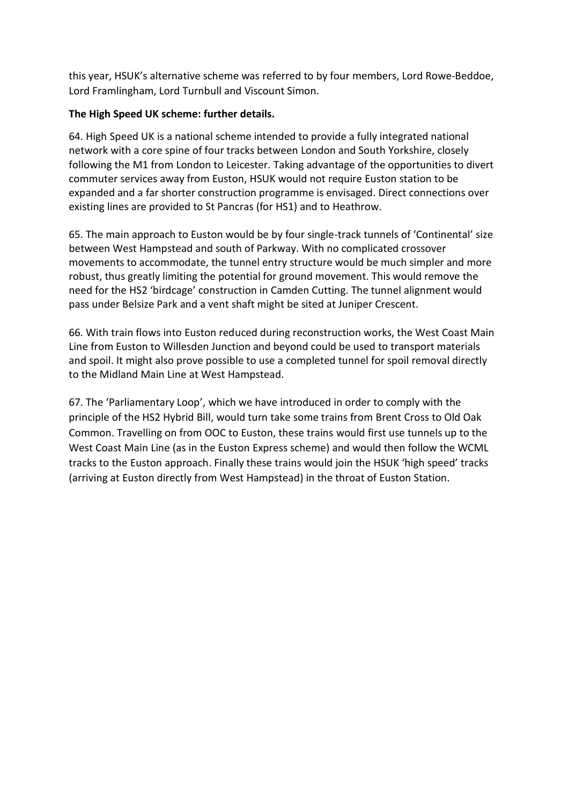this year, HSUK's alternative scheme was referred to by four members, Lord Rowe-Beddoe, Lord Framlingham, Lord Turnbull and Viscount Simon.

#### **The High Speed UK scheme: further details.**

64. High Speed UK is a national scheme intended to provide a fully integrated national network with a core spine of four tracks between London and South Yorkshire, closely following the M1 from London to Leicester. Taking advantage of the opportunities to divert commuter services away from Euston, HSUK would not require Euston station to be expanded and a far shorter construction programme is envisaged. Direct connections over existing lines are provided to St Pancras (for HS1) and to Heathrow.

65. The main approach to Euston would be by four single-track tunnels of 'Continental' size between West Hampstead and south of Parkway. With no complicated crossover movements to accommodate, the tunnel entry structure would be much simpler and more robust, thus greatly limiting the potential for ground movement. This would remove the need for the HS2 'birdcage' construction in Camden Cutting. The tunnel alignment would pass under Belsize Park and a vent shaft might be sited at Juniper Crescent.

66. With train flows into Euston reduced during reconstruction works, the West Coast Main Line from Euston to Willesden Junction and beyond could be used to transport materials and spoil. It might also prove possible to use a completed tunnel for spoil removal directly to the Midland Main Line at West Hampstead.

67. The 'Parliamentary Loop', which we have introduced in order to comply with the principle of the HS2 Hybrid Bill, would turn take some trains from Brent Cross to Old Oak Common. Travelling on from OOC to Euston, these trains would first use tunnels up to the West Coast Main Line (as in the Euston Express scheme) and would then follow the WCML tracks to the Euston approach. Finally these trains would join the HSUK 'high speed' tracks (arriving at Euston directly from West Hampstead) in the throat of Euston Station.